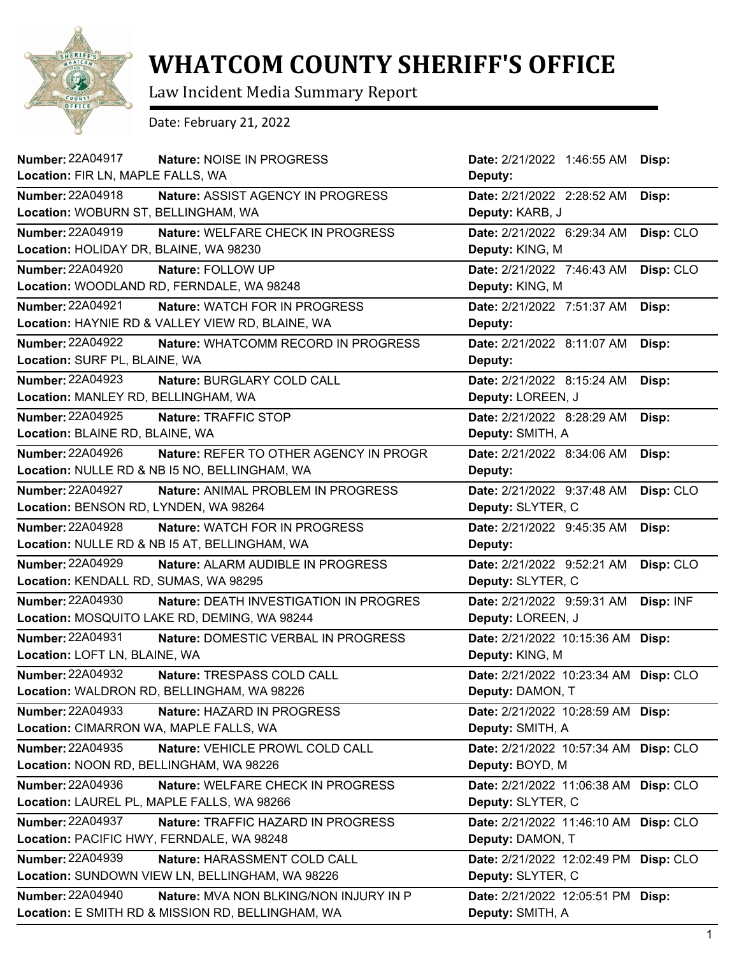

## **WHATCOM COUNTY SHERIFF'S OFFICE**

Law Incident Media Summary Report

Date: February 21, 2022

| Number: 22A04917<br>Nature: NOISE IN PROGRESS                            | <b>Date:</b> 2/21/2022 1:46:55 AM     | Disp:     |
|--------------------------------------------------------------------------|---------------------------------------|-----------|
| Location: FIR LN, MAPLE FALLS, WA                                        | Deputy:                               |           |
| <b>Number: 22A04918</b><br>Nature: ASSIST AGENCY IN PROGRESS             | Date: 2/21/2022 2:28:52 AM            | Disp:     |
| Location: WOBURN ST, BELLINGHAM, WA                                      | Deputy: KARB, J                       |           |
| <b>Number: 22A04919</b><br>Nature: WELFARE CHECK IN PROGRESS             | Date: 2/21/2022 6:29:34 AM            | Disp: CLO |
| Location: HOLIDAY DR, BLAINE, WA 98230                                   | Deputy: KING, M                       |           |
| <b>Number: 22A04920</b><br>Nature: FOLLOW UP                             | Date: 2/21/2022 7:46:43 AM            | Disp: CLO |
| Location: WOODLAND RD, FERNDALE, WA 98248                                | Deputy: KING, M                       |           |
| <b>Number: 22A04921</b><br>Nature: WATCH FOR IN PROGRESS                 | Date: 2/21/2022 7:51:37 AM            | Disp:     |
| Location: HAYNIE RD & VALLEY VIEW RD, BLAINE, WA                         | Deputy:                               |           |
| <b>Number: 22A04922</b><br>Nature: WHATCOMM RECORD IN PROGRESS           | Date: 2/21/2022 8:11:07 AM            | Disp:     |
| Location: SURF PL, BLAINE, WA                                            | Deputy:                               |           |
| <b>Number: 22A04923</b><br>Nature: BURGLARY COLD CALL                    | Date: 2/21/2022 8:15:24 AM            | Disp:     |
| Location: MANLEY RD, BELLINGHAM, WA                                      | Deputy: LOREEN, J                     |           |
| <b>Number: 22A04925</b><br>Nature: TRAFFIC STOP                          | Date: 2/21/2022 8:28:29 AM            | Disp:     |
| Location: BLAINE RD, BLAINE, WA                                          | Deputy: SMITH, A                      |           |
| <b>Number: 22A04926</b><br>Nature: REFER TO OTHER AGENCY IN PROGR        | Date: 2/21/2022 8:34:06 AM            | Disp:     |
| Location: NULLE RD & NB I5 NO, BELLINGHAM, WA                            | Deputy:                               |           |
| <b>Number: 22A04927</b><br>Nature: ANIMAL PROBLEM IN PROGRESS            | Date: 2/21/2022 9:37:48 AM            | Disp: CLO |
| Location: BENSON RD, LYNDEN, WA 98264                                    | Deputy: SLYTER, C                     |           |
| Number: 22A04928<br>Nature: WATCH FOR IN PROGRESS                        | Date: 2/21/2022 9:45:35 AM            | Disp:     |
| Location: NULLE RD & NB I5 AT, BELLINGHAM, WA                            | Deputy:                               |           |
| <b>Number: 22A04929</b><br>Nature: ALARM AUDIBLE IN PROGRESS             | Date: 2/21/2022 9:52:21 AM            | Disp: CLO |
| Location: KENDALL RD, SUMAS, WA 98295                                    | Deputy: SLYTER, C                     |           |
|                                                                          | Date: 2/21/2022 9:59:31 AM            | Disp: INF |
| <b>Number: 22A04930</b><br>Nature: DEATH INVESTIGATION IN PROGRES        |                                       |           |
| Location: MOSQUITO LAKE RD, DEMING, WA 98244                             | Deputy: LOREEN, J                     |           |
| Number: 22A04931<br>Nature: DOMESTIC VERBAL IN PROGRESS                  | Date: 2/21/2022 10:15:36 AM Disp:     |           |
| Location: LOFT LN, BLAINE, WA                                            | Deputy: KING, M                       |           |
| Number: 22A04932<br>Nature: TRESPASS COLD CALL                           | Date: 2/21/2022 10:23:34 AM Disp: CLO |           |
| Location: WALDRON RD, BELLINGHAM, WA 98226                               | Deputy: DAMON, T                      |           |
| Number: 22A04933<br>Nature: HAZARD IN PROGRESS                           | Date: 2/21/2022 10:28:59 AM Disp:     |           |
| Location: CIMARRON WA, MAPLE FALLS, WA                                   | Deputy: SMITH, A                      |           |
| Number: 22A04935<br>Nature: VEHICLE PROWL COLD CALL                      | Date: 2/21/2022 10:57:34 AM Disp: CLO |           |
| Location: NOON RD, BELLINGHAM, WA 98226                                  | Deputy: BOYD, M                       |           |
| Number: 22A04936<br>Nature: WELFARE CHECK IN PROGRESS                    | Date: 2/21/2022 11:06:38 AM Disp: CLO |           |
| Location: LAUREL PL, MAPLE FALLS, WA 98266                               | Deputy: SLYTER, C                     |           |
| <b>Number: 22A04937</b><br>Nature: TRAFFIC HAZARD IN PROGRESS            | Date: 2/21/2022 11:46:10 AM Disp: CLO |           |
| Location: PACIFIC HWY, FERNDALE, WA 98248                                | Deputy: DAMON, T                      |           |
| Number: 22A04939<br>Nature: HARASSMENT COLD CALL                         | Date: 2/21/2022 12:02:49 PM           | Disp: CLO |
| Location: SUNDOWN VIEW LN, BELLINGHAM, WA 98226                          | Deputy: SLYTER, C                     |           |
| <b>Number: 22A04940</b><br><b>Nature: MVA NON BLKING/NON INJURY IN P</b> | Date: 2/21/2022 12:05:51 PM           | Disp:     |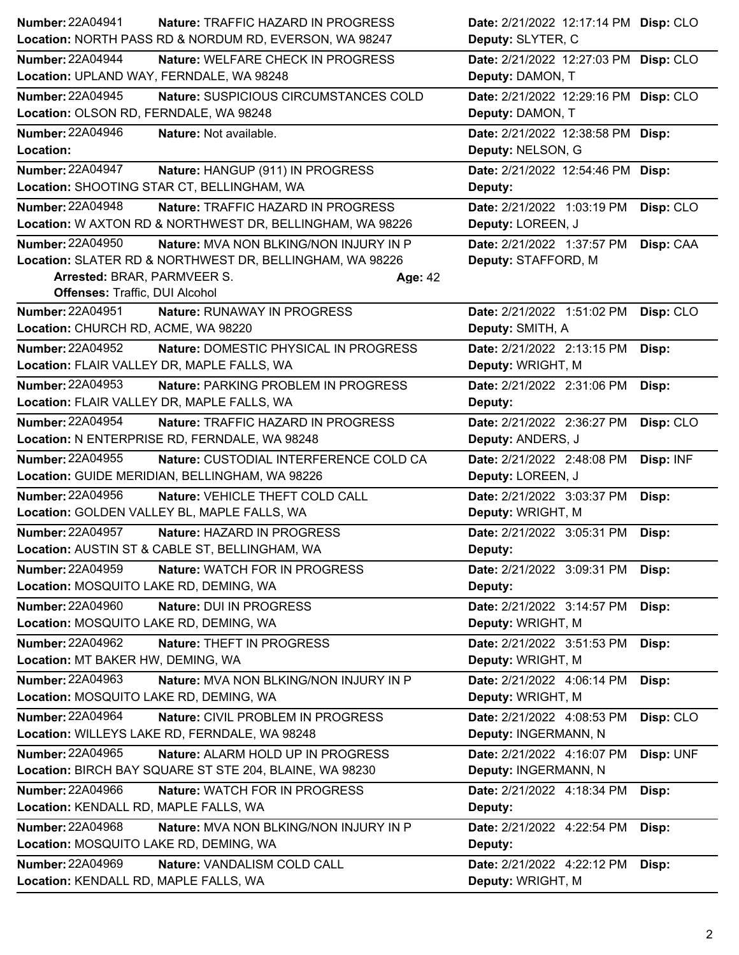| <b>Number: 22A04941</b>                  | Nature: TRAFFIC HAZARD IN PROGRESS                        |                | Date: 2/21/2022 12:17:14 PM Disp: CLO |           |
|------------------------------------------|-----------------------------------------------------------|----------------|---------------------------------------|-----------|
|                                          | Location: NORTH PASS RD & NORDUM RD, EVERSON, WA 98247    |                | Deputy: SLYTER, C                     |           |
| <b>Number: 22A04944</b>                  | Nature: WELFARE CHECK IN PROGRESS                         |                | Date: 2/21/2022 12:27:03 PM Disp: CLO |           |
| Location: UPLAND WAY, FERNDALE, WA 98248 |                                                           |                | Deputy: DAMON, T                      |           |
| <b>Number: 22A04945</b>                  | Nature: SUSPICIOUS CIRCUMSTANCES COLD                     |                | Date: 2/21/2022 12:29:16 PM Disp: CLO |           |
| Location: OLSON RD, FERNDALE, WA 98248   |                                                           |                | Deputy: DAMON, T                      |           |
| <b>Number: 22A04946</b>                  | Nature: Not available.                                    |                | Date: 2/21/2022 12:38:58 PM Disp:     |           |
| Location:                                |                                                           |                | Deputy: NELSON, G                     |           |
| <b>Number: 22A04947</b>                  | Nature: HANGUP (911) IN PROGRESS                          |                | Date: 2/21/2022 12:54:46 PM Disp:     |           |
|                                          | Location: SHOOTING STAR CT, BELLINGHAM, WA                |                | Deputy:                               |           |
| Number: 22A04948                         | Nature: TRAFFIC HAZARD IN PROGRESS                        |                | Date: 2/21/2022 1:03:19 PM            | Disp: CLO |
|                                          | Location: W AXTON RD & NORTHWEST DR, BELLINGHAM, WA 98226 |                | Deputy: LOREEN, J                     |           |
| <b>Number: 22A04950</b>                  | Nature: MVA NON BLKING/NON INJURY IN P                    |                | Date: 2/21/2022 1:37:57 PM            | Disp: CAA |
|                                          | Location: SLATER RD & NORTHWEST DR, BELLINGHAM, WA 98226  |                | Deputy: STAFFORD, M                   |           |
| Arrested: BRAR, PARMVEER S.              |                                                           | <b>Age: 42</b> |                                       |           |
| Offenses: Traffic, DUI Alcohol           |                                                           |                |                                       |           |
| Number: 22A04951                         | <b>Nature: RUNAWAY IN PROGRESS</b>                        |                | Date: 2/21/2022 1:51:02 PM            | Disp: CLO |
| Location: CHURCH RD, ACME, WA 98220      |                                                           |                | Deputy: SMITH, A                      |           |
| <b>Number: 22A04952</b>                  | Nature: DOMESTIC PHYSICAL IN PROGRESS                     |                | Date: 2/21/2022 2:13:15 PM            | Disp:     |
|                                          | Location: FLAIR VALLEY DR, MAPLE FALLS, WA                |                | Deputy: WRIGHT, M                     |           |
| <b>Number: 22A04953</b>                  | <b>Nature: PARKING PROBLEM IN PROGRESS</b>                |                | Date: 2/21/2022 2:31:06 PM            | Disp:     |
|                                          | Location: FLAIR VALLEY DR, MAPLE FALLS, WA                |                | Deputy:                               |           |
| <b>Number: 22A04954</b>                  | Nature: TRAFFIC HAZARD IN PROGRESS                        |                | Date: 2/21/2022 2:36:27 PM            | Disp: CLO |
|                                          | Location: N ENTERPRISE RD, FERNDALE, WA 98248             |                | Deputy: ANDERS, J                     |           |
| <b>Number: 22A04955</b>                  | Nature: CUSTODIAL INTERFERENCE COLD CA                    |                | Date: 2/21/2022 2:48:08 PM            | Disp: INF |
|                                          | Location: GUIDE MERIDIAN, BELLINGHAM, WA 98226            |                | Deputy: LOREEN, J                     |           |
| <b>Number: 22A04956</b>                  | Nature: VEHICLE THEFT COLD CALL                           |                | Date: 2/21/2022 3:03:37 PM            | Disp:     |
|                                          | Location: GOLDEN VALLEY BL, MAPLE FALLS, WA               |                | Deputy: WRIGHT, M                     |           |
| <b>Number: 22A04957</b>                  | Nature: HAZARD IN PROGRESS                                |                | Date: 2/21/2022 3:05:31 PM            | Disp:     |
|                                          | Location: AUSTIN ST & CABLE ST, BELLINGHAM, WA            |                | Deputy:                               |           |
| <b>Number: 22A04959</b>                  | Nature: WATCH FOR IN PROGRESS                             |                | Date: 2/21/2022 3:09:31 PM            | Disp:     |
| Location: MOSQUITO LAKE RD, DEMING, WA   |                                                           |                | Deputy:                               |           |
| <b>Number: 22A04960</b>                  | Nature: DUI IN PROGRESS                                   |                | Date: 2/21/2022 3:14:57 PM            | Disp:     |
| Location: MOSQUITO LAKE RD, DEMING, WA   |                                                           |                | Deputy: WRIGHT, M                     |           |
| <b>Number: 22A04962</b>                  | Nature: THEFT IN PROGRESS                                 |                | Date: 2/21/2022 3:51:53 PM            | Disp:     |
| Location: MT BAKER HW, DEMING, WA        |                                                           |                | Deputy: WRIGHT, M                     |           |
| Number: 22A04963                         | Nature: MVA NON BLKING/NON INJURY IN P                    |                | Date: 2/21/2022 4:06:14 PM            | Disp:     |
| Location: MOSQUITO LAKE RD, DEMING, WA   |                                                           |                | Deputy: WRIGHT, M                     |           |
| <b>Number: 22A04964</b>                  | Nature: CIVIL PROBLEM IN PROGRESS                         |                | Date: 2/21/2022 4:08:53 PM            | Disp: CLO |
|                                          | Location: WILLEYS LAKE RD, FERNDALE, WA 98248             |                | Deputy: INGERMANN, N                  |           |
| Number: 22A04965                         | Nature: ALARM HOLD UP IN PROGRESS                         |                | Date: 2/21/2022 4:16:07 PM            | Disp: UNF |
|                                          | Location: BIRCH BAY SQUARE ST STE 204, BLAINE, WA 98230   |                | Deputy: INGERMANN, N                  |           |
| <b>Number: 22A04966</b>                  | Nature: WATCH FOR IN PROGRESS                             |                | Date: 2/21/2022 4:18:34 PM            | Disp:     |
| Location: KENDALL RD, MAPLE FALLS, WA    |                                                           |                | Deputy:                               |           |
| <b>Number: 22A04968</b>                  | Nature: MVA NON BLKING/NON INJURY IN P                    |                | Date: 2/21/2022 4:22:54 PM            | Disp:     |
| Location: MOSQUITO LAKE RD, DEMING, WA   |                                                           |                | Deputy:                               |           |
| <b>Number: 22A04969</b>                  | Nature: VANDALISM COLD CALL                               |                | Date: 2/21/2022 4:22:12 PM            | Disp:     |
| Location: KENDALL RD, MAPLE FALLS, WA    |                                                           |                | Deputy: WRIGHT, M                     |           |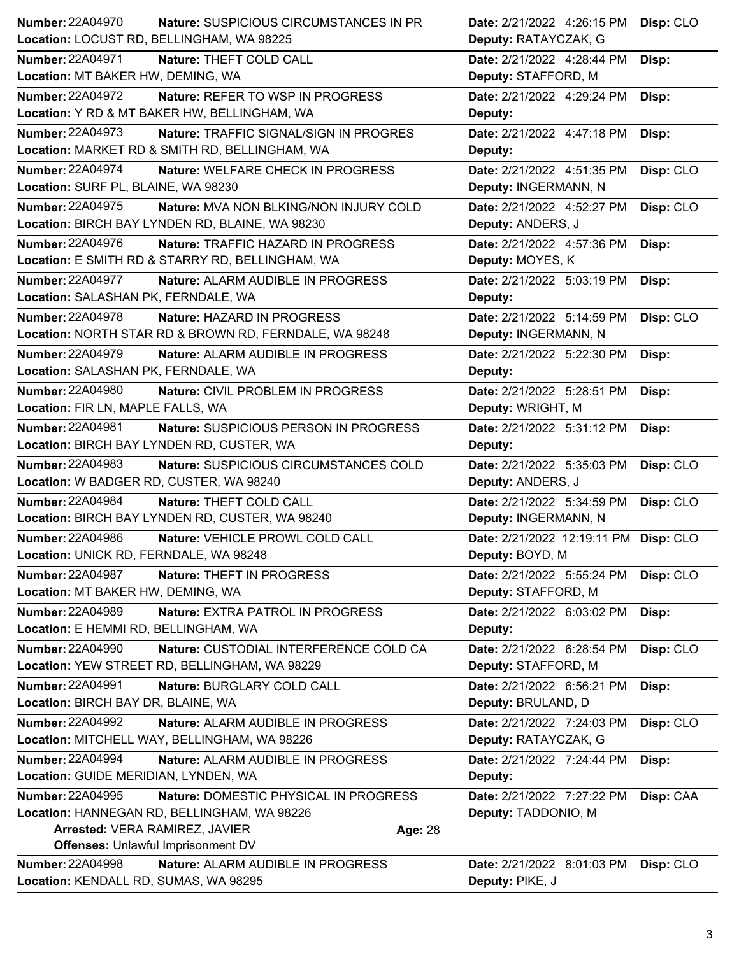| <b>Number: 22A04970</b>                   | <b>Nature: SUSPICIOUS CIRCUMSTANCES IN PR</b>          | Date: 2/21/2022 4:26:15 PM            | Disp: CLO |
|-------------------------------------------|--------------------------------------------------------|---------------------------------------|-----------|
| Location: LOCUST RD, BELLINGHAM, WA 98225 |                                                        | Deputy: RATAYCZAK, G                  |           |
| <b>Number: 22A04971</b>                   | Nature: THEFT COLD CALL                                | Date: 2/21/2022 4:28:44 PM            | Disp:     |
| Location: MT BAKER HW, DEMING, WA         |                                                        | Deputy: STAFFORD, M                   |           |
| <b>Number: 22A04972</b>                   | Nature: REFER TO WSP IN PROGRESS                       | Date: 2/21/2022 4:29:24 PM            | Disp:     |
|                                           | Location: Y RD & MT BAKER HW, BELLINGHAM, WA           | Deputy:                               |           |
| Number: 22A04973                          | <b>Nature: TRAFFIC SIGNAL/SIGN IN PROGRES</b>          | Date: 2/21/2022 4:47:18 PM            | Disp:     |
|                                           | Location: MARKET RD & SMITH RD, BELLINGHAM, WA         | Deputy:                               |           |
| <b>Number: 22A04974</b>                   | Nature: WELFARE CHECK IN PROGRESS                      | Date: 2/21/2022 4:51:35 PM            | Disp: CLO |
| Location: SURF PL, BLAINE, WA 98230       |                                                        | Deputy: INGERMANN, N                  |           |
| <b>Number: 22A04975</b>                   | Nature: MVA NON BLKING/NON INJURY COLD                 | Date: 2/21/2022 4:52:27 PM            | Disp: CLO |
|                                           | Location: BIRCH BAY LYNDEN RD, BLAINE, WA 98230        | Deputy: ANDERS, J                     |           |
| Number: 22A04976                          | Nature: TRAFFIC HAZARD IN PROGRESS                     | Date: 2/21/2022 4:57:36 PM            | Disp:     |
|                                           | Location: E SMITH RD & STARRY RD, BELLINGHAM, WA       | Deputy: MOYES, K                      |           |
| Number: 22A04977                          | Nature: ALARM AUDIBLE IN PROGRESS                      | Date: 2/21/2022 5:03:19 PM            | Disp:     |
| Location: SALASHAN PK, FERNDALE, WA       |                                                        | Deputy:                               |           |
| Number: 22A04978                          | Nature: HAZARD IN PROGRESS                             | Date: 2/21/2022 5:14:59 PM            | Disp: CLO |
|                                           | Location: NORTH STAR RD & BROWN RD, FERNDALE, WA 98248 | Deputy: INGERMANN, N                  |           |
| Number: 22A04979                          | Nature: ALARM AUDIBLE IN PROGRESS                      | Date: 2/21/2022 5:22:30 PM            | Disp:     |
| Location: SALASHAN PK, FERNDALE, WA       |                                                        | Deputy:                               |           |
| <b>Number: 22A04980</b>                   | Nature: CIVIL PROBLEM IN PROGRESS                      | Date: 2/21/2022 5:28:51 PM            | Disp:     |
| Location: FIR LN, MAPLE FALLS, WA         |                                                        | Deputy: WRIGHT, M                     |           |
| <b>Number: 22A04981</b>                   |                                                        |                                       |           |
|                                           | Nature: SUSPICIOUS PERSON IN PROGRESS                  | Date: 2/21/2022 5:31:12 PM            | Disp:     |
| Location: BIRCH BAY LYNDEN RD, CUSTER, WA |                                                        | Deputy:                               |           |
| <b>Number: 22A04983</b>                   | Nature: SUSPICIOUS CIRCUMSTANCES COLD                  | Date: 2/21/2022 5:35:03 PM            | Disp: CLO |
| Location: W BADGER RD, CUSTER, WA 98240   |                                                        | Deputy: ANDERS, J                     |           |
| <b>Number: 22A04984</b>                   | Nature: THEFT COLD CALL                                | Date: 2/21/2022 5:34:59 PM            | Disp: CLO |
|                                           | Location: BIRCH BAY LYNDEN RD, CUSTER, WA 98240        | Deputy: INGERMANN, N                  |           |
| <b>Number: 22A04986</b>                   | Nature: VEHICLE PROWL COLD CALL                        | Date: 2/21/2022 12:19:11 PM Disp: CLO |           |
| Location: UNICK RD, FERNDALE, WA 98248    |                                                        | Deputy: BOYD, M                       |           |
| <b>Number: 22A04987</b>                   | <b>Nature: THEFT IN PROGRESS</b>                       | Date: 2/21/2022 5:55:24 PM            | Disp: CLO |
| Location: MT BAKER HW, DEMING, WA         |                                                        | Deputy: STAFFORD, M                   |           |
| <b>Number: 22A04989</b>                   | Nature: EXTRA PATROL IN PROGRESS                       | Date: 2/21/2022 6:03:02 PM            | Disp:     |
| Location: E HEMMI RD, BELLINGHAM, WA      |                                                        | Deputy:                               |           |
| <b>Number: 22A04990</b>                   | Nature: CUSTODIAL INTERFERENCE COLD CA                 | Date: 2/21/2022 6:28:54 PM            | Disp: CLO |
|                                           | Location: YEW STREET RD, BELLINGHAM, WA 98229          | Deputy: STAFFORD, M                   |           |
| <b>Number: 22A04991</b>                   | Nature: BURGLARY COLD CALL                             | Date: 2/21/2022 6:56:21 PM            | Disp:     |
| Location: BIRCH BAY DR, BLAINE, WA        |                                                        | Deputy: BRULAND, D                    |           |
| <b>Number: 22A04992</b>                   | Nature: ALARM AUDIBLE IN PROGRESS                      | Date: 2/21/2022 7:24:03 PM            | Disp: CLO |
|                                           | Location: MITCHELL WAY, BELLINGHAM, WA 98226           | Deputy: RATAYCZAK, G                  |           |
| <b>Number: 22A04994</b>                   | Nature: ALARM AUDIBLE IN PROGRESS                      | Date: 2/21/2022 7:24:44 PM            | Disp:     |
| Location: GUIDE MERIDIAN, LYNDEN, WA      |                                                        | Deputy:                               |           |
| Number: 22A04995                          | Nature: DOMESTIC PHYSICAL IN PROGRESS                  | Date: 2/21/2022 7:27:22 PM            | Disp: CAA |
|                                           | Location: HANNEGAN RD, BELLINGHAM, WA 98226            | Deputy: TADDONIO, M                   |           |
| Arrested: VERA RAMIREZ, JAVIER            | Age: 28                                                |                                       |           |
| <b>Offenses: Unlawful Imprisonment DV</b> |                                                        |                                       |           |
| <b>Number: 22A04998</b>                   | Nature: ALARM AUDIBLE IN PROGRESS                      | Date: 2/21/2022 8:01:03 PM            | Disp: CLO |
| Location: KENDALL RD, SUMAS, WA 98295     |                                                        | Deputy: PIKE, J                       |           |